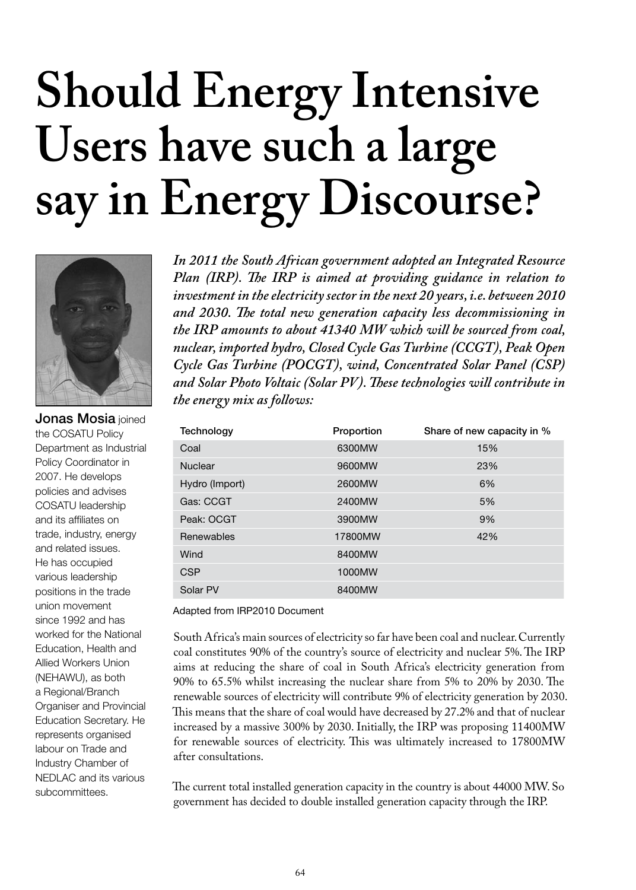# **Should Energy Intensive Users have such a large say in Energy Discourse?**



Jonas Mosia joined the COSATU Policy Department as Industrial Policy Coordinator in 2007. He develops policies and advises COSATU leadership and its affiliates on trade, industry, energy and related issues. He has occupied various leadership positions in the trade union movement since 1992 and has worked for the National Education, Health and Allied Workers Union (NEHAWU), as both a Regional/Branch Organiser and Provincial Education Secretary. He represents organised labour on Trade and Industry Chamber of NEDLAC and its various subcommittees.

*In 2011 the South African government adopted an Integrated Resource Plan (IRP). The IRP is aimed at providing guidance in relation to investment in the electricity sector in the next 20 years, i.e. between 2010 and 2030. The total new generation capacity less decommissioning in the IRP amounts to about 41340 MW which will be sourced from coal, nuclear, imported hydro, Closed Cycle Gas Turbine (CCGT), Peak Open Cycle Gas Turbine (POCGT), wind, Concentrated Solar Panel (CSP) and Solar Photo Voltaic (Solar PV). These technologies will contribute in the energy mix as follows:*

| Technology     | Proportion | Share of new capacity in % |
|----------------|------------|----------------------------|
| Coal           | 6300MW     | 15%                        |
| <b>Nuclear</b> | 9600MW     | 23%                        |
| Hydro (Import) | 2600MW     | 6%                         |
| Gas: CCGT      | 2400MW     | 5%                         |
| Peak: OCGT     | 3900MW     | 9%                         |
| Renewables     | 17800MW    | 42%                        |
| Wind           | 8400MW     |                            |
| <b>CSP</b>     | 1000MW     |                            |
| Solar PV       | 8400MW     |                            |

Adapted from IRP2010 Document

South Africa's main sources of electricity so far have been coal and nuclear. Currently coal constitutes 90% of the country's source of electricity and nuclear 5%. The IRP aims at reducing the share of coal in South Africa's electricity generation from 90% to 65.5% whilst increasing the nuclear share from 5% to 20% by 2030. The renewable sources of electricity will contribute 9% of electricity generation by 2030. This means that the share of coal would have decreased by 27.2% and that of nuclear increased by a massive 300% by 2030. Initially, the IRP was proposing 11400MW for renewable sources of electricity. This was ultimately increased to 17800MW after consultations.

The current total installed generation capacity in the country is about 44000 MW. So government has decided to double installed generation capacity through the IRP.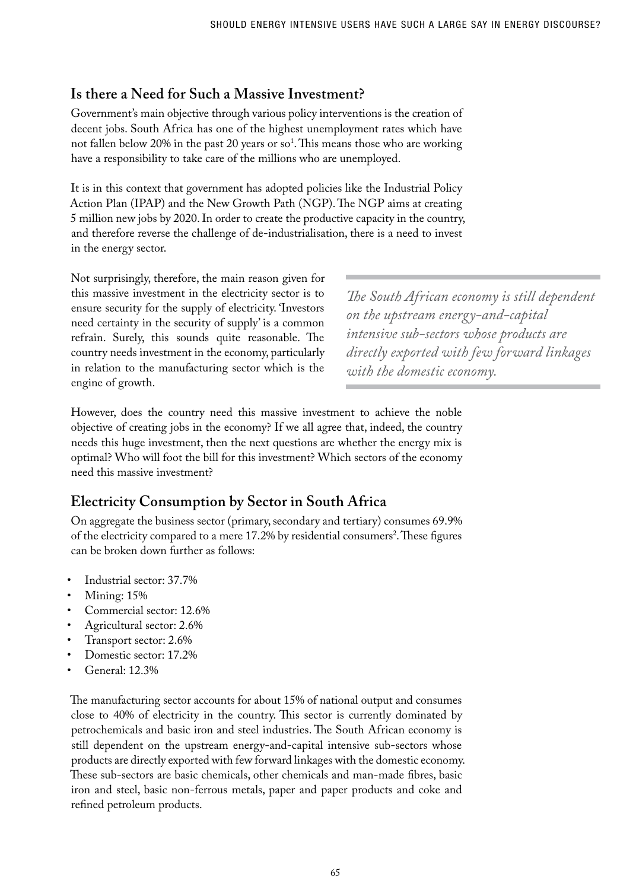## **Is there a Need for Such a Massive Investment?**

Government's main objective through various policy interventions is the creation of decent jobs. South Africa has one of the highest unemployment rates which have not fallen below 20% in the past 20 years or so<sup>1</sup>. This means those who are working have a responsibility to take care of the millions who are unemployed.

It is in this context that government has adopted policies like the Industrial Policy Action Plan (IPAP) and the New Growth Path (NGP). The NGP aims at creating 5 million new jobs by 2020. In order to create the productive capacity in the country, and therefore reverse the challenge of de-industrialisation, there is a need to invest in the energy sector.

Not surprisingly, therefore, the main reason given for this massive investment in the electricity sector is to ensure security for the supply of electricity. 'Investors need certainty in the security of supply' is a common refrain. Surely, this sounds quite reasonable. The country needs investment in the economy, particularly in relation to the manufacturing sector which is the engine of growth.

*The South African economy is still dependent on the upstream energy-and-capital intensive sub-sectors whose products are directly exported with few forward linkages with the domestic economy.* 

However, does the country need this massive investment to achieve the noble objective of creating jobs in the economy? If we all agree that, indeed, the country needs this huge investment, then the next questions are whether the energy mix is optimal? Who will foot the bill for this investment? Which sectors of the economy need this massive investment?

## **Electricity Consumption by Sector in South Africa**

On aggregate the business sector (primary, secondary and tertiary) consumes 69.9% of the electricity compared to a mere 17.2% by residential consumers<sup>2</sup>. These figures can be broken down further as follows:

- Industrial sector: 37.7%
- Mining: 15%
- Commercial sector: 12.6%
- Agricultural sector: 2.6%
- Transport sector: 2.6%
- Domestic sector: 17.2%
- General: 12.3%

The manufacturing sector accounts for about 15% of national output and consumes close to 40% of electricity in the country. This sector is currently dominated by petrochemicals and basic iron and steel industries. The South African economy is still dependent on the upstream energy-and-capital intensive sub-sectors whose products are directly exported with few forward linkages with the domestic economy. These sub-sectors are basic chemicals, other chemicals and man-made fibres, basic iron and steel, basic non-ferrous metals, paper and paper products and coke and refined petroleum products.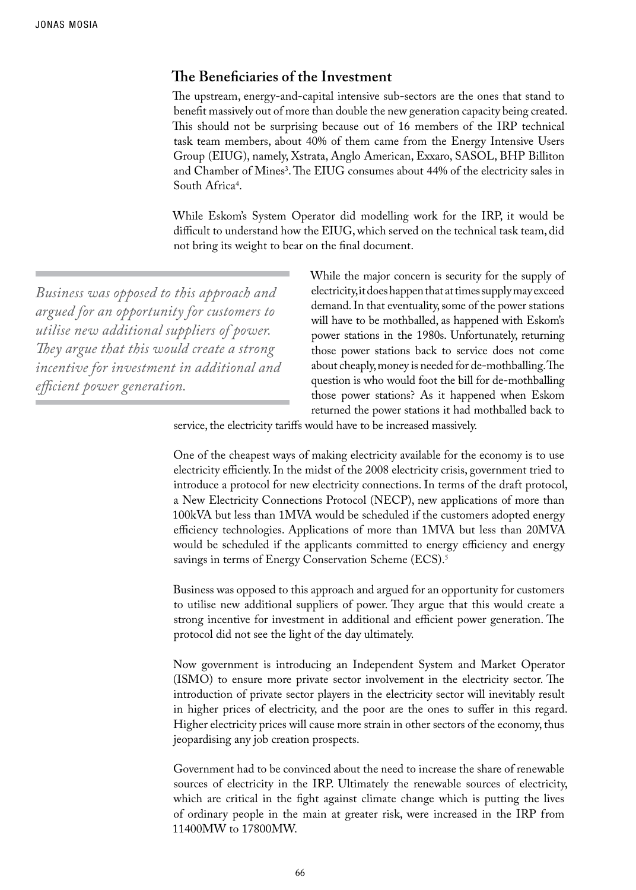#### **The Beneficiaries of the Investment**

The upstream, energy-and-capital intensive sub-sectors are the ones that stand to benefit massively out of more than double the new generation capacity being created. This should not be surprising because out of 16 members of the IRP technical task team members, about 40% of them came from the Energy Intensive Users Group (EIUG), namely, Xstrata, Anglo American, Exxaro, SASOL, BHP Billiton and Chamber of Mines<sup>3</sup>. The EIUG consumes about 44% of the electricity sales in South Africa<sup>4</sup>.

While Eskom's System Operator did modelling work for the IRP, it would be difficult to understand how the EIUG, which served on the technical task team, did not bring its weight to bear on the final document.

*Business was opposed to this approach and argued for an opportunity for customers to utilise new additional suppliers of power. They argue that this would create a strong incentive for investment in additional and efficient power generation.*

While the major concern is security for the supply of electricity, it does happen that at times supply may exceed demand. In that eventuality, some of the power stations will have to be mothballed, as happened with Eskom's power stations in the 1980s. Unfortunately, returning those power stations back to service does not come about cheaply, money is needed for de-mothballing. The question is who would foot the bill for de-mothballing those power stations? As it happened when Eskom returned the power stations it had mothballed back to

service, the electricity tariffs would have to be increased massively.

One of the cheapest ways of making electricity available for the economy is to use electricity efficiently. In the midst of the 2008 electricity crisis, government tried to introduce a protocol for new electricity connections. In terms of the draft protocol, a New Electricity Connections Protocol (NECP), new applications of more than 100kVA but less than 1MVA would be scheduled if the customers adopted energy efficiency technologies. Applications of more than 1MVA but less than 20MVA would be scheduled if the applicants committed to energy efficiency and energy savings in terms of Energy Conservation Scheme (ECS).<sup>5</sup>

Business was opposed to this approach and argued for an opportunity for customers to utilise new additional suppliers of power. They argue that this would create a strong incentive for investment in additional and efficient power generation. The protocol did not see the light of the day ultimately.

Now government is introducing an Independent System and Market Operator (ISMO) to ensure more private sector involvement in the electricity sector. The introduction of private sector players in the electricity sector will inevitably result in higher prices of electricity, and the poor are the ones to suffer in this regard. Higher electricity prices will cause more strain in other sectors of the economy, thus jeopardising any job creation prospects.

Government had to be convinced about the need to increase the share of renewable sources of electricity in the IRP. Ultimately the renewable sources of electricity, which are critical in the fight against climate change which is putting the lives of ordinary people in the main at greater risk, were increased in the IRP from 11400MW to 17800MW.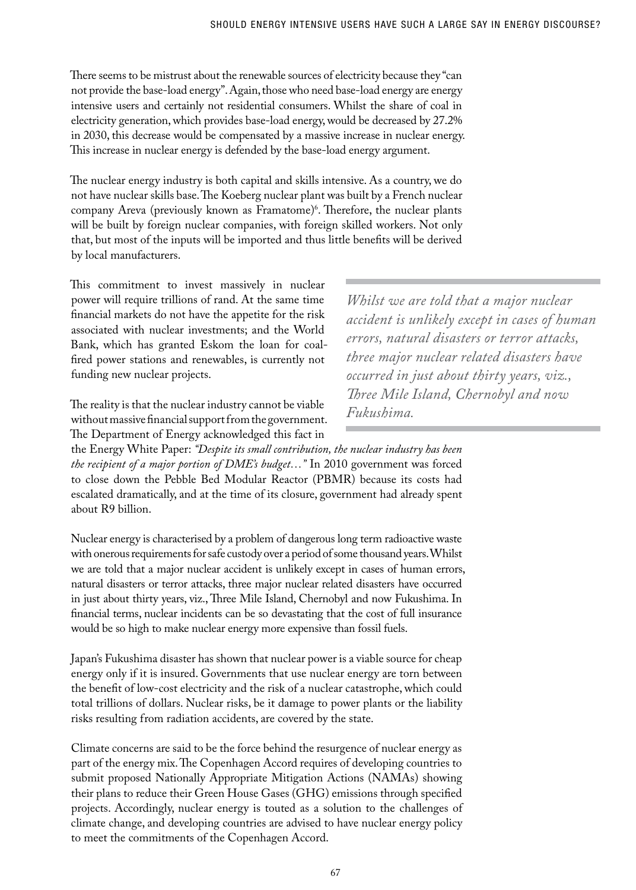There seems to be mistrust about the renewable sources of electricity because they "can not provide the base-load energy". Again, those who need base-load energy are energy intensive users and certainly not residential consumers. Whilst the share of coal in electricity generation, which provides base-load energy, would be decreased by 27.2% in 2030, this decrease would be compensated by a massive increase in nuclear energy. This increase in nuclear energy is defended by the base-load energy argument.

The nuclear energy industry is both capital and skills intensive. As a country, we do not have nuclear skills base. The Koeberg nuclear plant was built by a French nuclear company Areva (previously known as Framatome)<sup>6</sup>. Therefore, the nuclear plants will be built by foreign nuclear companies, with foreign skilled workers. Not only that, but most of the inputs will be imported and thus little benefits will be derived by local manufacturers.

This commitment to invest massively in nuclear power will require trillions of rand. At the same time financial markets do not have the appetite for the risk associated with nuclear investments; and the World Bank, which has granted Eskom the loan for coalfired power stations and renewables, is currently not funding new nuclear projects.

The reality is that the nuclear industry cannot be viable without massive financial support from the government. The Department of Energy acknowledged this fact in

*Whilst we are told that a major nuclear accident is unlikely except in cases of human errors, natural disasters or terror attacks, three major nuclear related disasters have occurred in just about thirty years, viz., Three Mile Island, Chernobyl and now Fukushima.*

the Energy White Paper: *"Despite its small contribution, the nuclear industry has been the recipient of a major portion of DME's budget…"* In 2010 government was forced to close down the Pebble Bed Modular Reactor (PBMR) because its costs had escalated dramatically, and at the time of its closure, government had already spent about R9 billion.

Nuclear energy is characterised by a problem of dangerous long term radioactive waste with onerous requirements for safe custody over a period of some thousand years. Whilst we are told that a major nuclear accident is unlikely except in cases of human errors, natural disasters or terror attacks, three major nuclear related disasters have occurred in just about thirty years, viz., Three Mile Island, Chernobyl and now Fukushima. In financial terms, nuclear incidents can be so devastating that the cost of full insurance would be so high to make nuclear energy more expensive than fossil fuels.

Japan's Fukushima disaster has shown that nuclear power is a viable source for cheap energy only if it is insured. Governments that use nuclear energy are torn between the benefit of low-cost electricity and the risk of a nuclear catastrophe, which could total trillions of dollars. Nuclear risks, be it damage to power plants or the liability risks resulting from radiation accidents, are covered by the state.

Climate concerns are said to be the force behind the resurgence of nuclear energy as part of the energy mix. The Copenhagen Accord requires of developing countries to submit proposed Nationally Appropriate Mitigation Actions (NAMAs) showing their plans to reduce their Green House Gases (GHG) emissions through specified projects. Accordingly, nuclear energy is touted as a solution to the challenges of climate change, and developing countries are advised to have nuclear energy policy to meet the commitments of the Copenhagen Accord.